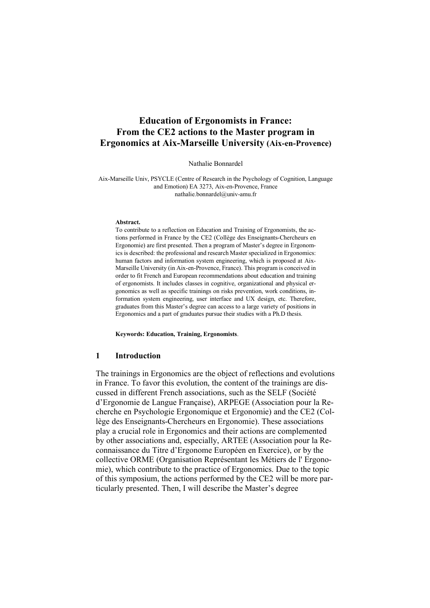# **Education of Ergonomists in France: From the CE2 actions to the Master program in Ergonomics at Aix-Marseille University (Aix-en-Provence)**

Nathalie Bonnardel

Aix-Marseille Univ, PSYCLE (Centre of Research in the Psychology of Cognition, Language and Emotion) EA 3273, Aix-en-Provence, France nathalie.bonnardel@univ-amu.fr

#### **Abstract.**

To contribute to a reflection on Education and Training of Ergonomists, the actions performed in France by the CE2 (Collège des Enseignants-Chercheurs en Ergonomie) are first presented. Then a program of Master's degree in Ergonomics is described: the professional and research Master specialized in Ergonomics: human factors and information system engineering, which is proposed at Aix-Marseille University (in Aix-en-Provence, France). This program is conceived in order to fit French and European recommendations about education and training of ergonomists. It includes classes in cognitive, organizational and physical ergonomics as well as specific trainings on risks prevention, work conditions, information system engineering, user interface and UX design, etc. Therefore, graduates from this Master's degree can access to a large variety of positions in Ergonomics and a part of graduates pursue their studies with a Ph.D thesis.

**Keywords: Education, Training, Ergonomists**.

## **1 Introduction**

The trainings in Ergonomics are the object of reflections and evolutions in France. To favor this evolution, the content of the trainings are discussed in different French associations, such as the SELF (Société d'Ergonomie de Langue Française), ARPEGE (Association pour la Recherche en Psychologie Ergonomique et Ergonomie) and the CE2 (Collège des Enseignants-Chercheurs en Ergonomie). These associations play a crucial role in Ergonomics and their actions are complemented by other associations and, especially, ARTEE (Association pour la Reconnaissance du Titre d'Ergonome Européen en Exercice), or by the collective ORME (Organisation Représentant les Métiers de l' Ergonomie), which contribute to the practice of Ergonomics. Due to the topic of this symposium, the actions performed by the CE2 will be more particularly presented. Then, I will describe the Master's degree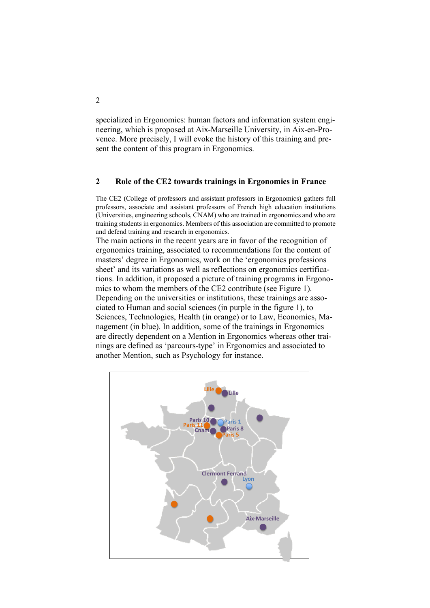specialized in Ergonomics: human factors and information system engineering, which is proposed at Aix-Marseille University, in Aix-en-Provence. More precisely, I will evoke the history of this training and present the content of this program in Ergonomics.

## **2 Role of the CE2 towards trainings in Ergonomics in France**

The CE2 (College of professors and assistant professors in Ergonomics) gathers full professors, associate and assistant professors of French high education institutions (Universities, engineering schools, CNAM) who are trained in ergonomics and who are training students in ergonomics. Members of this association are committed to promote and defend training and research in ergonomics.

The main actions in the recent years are in favor of the recognition of ergonomics training, associated to recommendations for the content of masters' degree in Ergonomics, work on the 'ergonomics professions sheet' and its variations as well as reflections on ergonomics certifications. In addition, it proposed a picture of training programs in Ergonomics to whom the members of the CE2 contribute (see Figure 1). Depending on the universities or institutions, these trainings are associated to Human and social sciences (in purple in the figure 1), to Sciences, Technologies, Health (in orange) or to Law, Economics, Management (in blue). In addition, some of the trainings in Ergonomics are directly dependent on a Mention in Ergonomics whereas other trainings are defined as 'parcours-type' in Ergonomics and associated to another Mention, such as Psychology for instance.

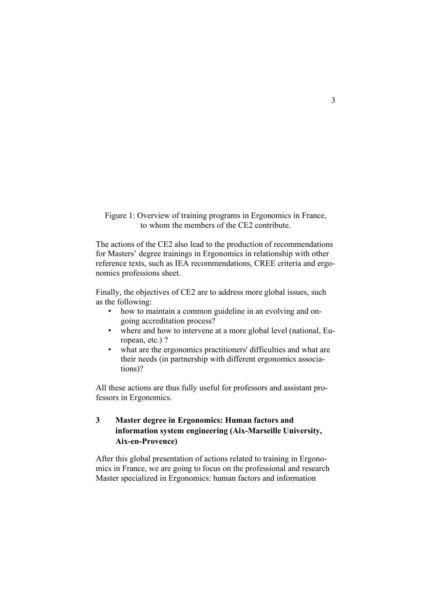Figure 1: Overview of training programs in Ergonomics in France, to whom the members of the CE2 contribute.

The actions of the CE2 also lead to the production of recommendations for Masters' degree trainings in Ergonomics in relationship with other reference texts, such as IEA recommendations, CREE criteria and ergonomics professions sheet.

Finally, the objectives of CE2 are to address more global issues, such as the following:

- how to maintain a common guideline in an evolving and ongoing accreditation process?
- where and how to intervene at a more global level (national, European, etc.) ?
- what are the ergonomics practitioners' difficulties and what are their needs (in partnership with different ergonomics associations)?

All these actions are thus fully useful for professors and assistant professors in Ergonomics.

# **3 Master degree in Ergonomics: Human factors and information system engineering (Aix-Marseille University, Aix-en-Provence)**

After this global presentation of actions related to training in Ergonomics in France, we are going to focus on the professional and research Master specialized in Ergonomics: human factors and information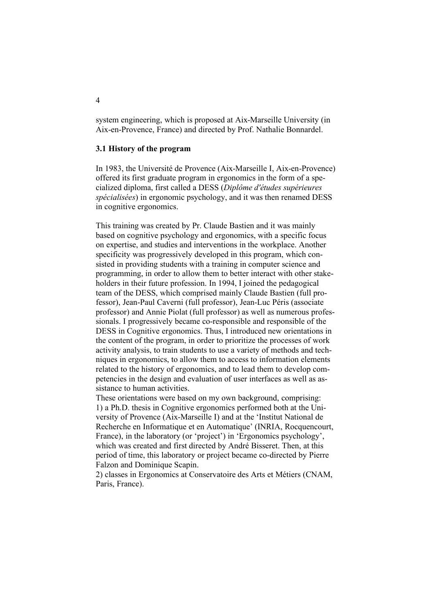system engineering, which is proposed at Aix-Marseille University (in Aix-en-Provence, France) and directed by Prof. Nathalie Bonnardel.

## **3.1 History of the program**

In 1983, the Université de Provence (Aix-Marseille I, Aix-en-Provence) offered its first graduate program in ergonomics in the form of a specialized diploma, first called a DESS (*Diplôme d'études supérieures spécialisées*) in ergonomic psychology, and it was then renamed DESS in cognitive ergonomics.

This training was created by Pr. Claude Bastien and it was mainly based on cognitive psychology and ergonomics, with a specific focus on expertise, and studies and interventions in the workplace. Another specificity was progressively developed in this program, which consisted in providing students with a training in computer science and programming, in order to allow them to better interact with other stakeholders in their future profession. In 1994, I joined the pedagogical team of the DESS, which comprised mainly Claude Bastien (full professor), Jean-Paul Caverni (full professor), Jean-Luc Péris (associate professor) and Annie Piolat (full professor) as well as numerous professionals. I progressively became co-responsible and responsible of the DESS in Cognitive ergonomics. Thus, I introduced new orientations in the content of the program, in order to prioritize the processes of work activity analysis, to train students to use a variety of methods and techniques in ergonomics, to allow them to access to information elements related to the history of ergonomics, and to lead them to develop competencies in the design and evaluation of user interfaces as well as assistance to human activities.

These orientations were based on my own background, comprising: 1) a Ph.D. thesis in Cognitive ergonomics performed both at the University of Provence (Aix-Marseille I) and at the 'Institut National de Recherche en Informatique et en Automatique' (INRIA, Rocquencourt, France), in the laboratory (or 'project') in 'Ergonomics psychology', which was created and first directed by André Bisseret. Then, at this period of time, this laboratory or project became co-directed by Pierre Falzon and Dominique Scapin.

2) classes in Ergonomics at Conservatoire des Arts et Métiers (CNAM, Paris, France).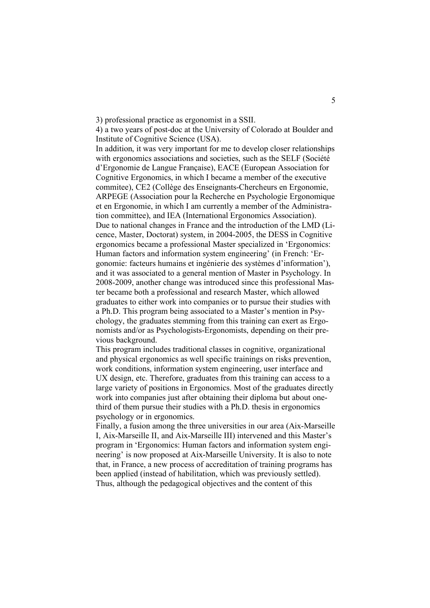3) professional practice as ergonomist in a SSII.

4) a two years of post-doc at the University of Colorado at Boulder and Institute of Cognitive Science (USA).

In addition, it was very important for me to develop closer relationships with ergonomics associations and societies, such as the SELF (Société) d'Ergonomie de Langue Française), EACE (European Association for Cognitive Ergonomics, in which I became a member of the executive commitee), CE2 (Collège des Enseignants-Chercheurs en Ergonomie, ARPEGE (Association pour la Recherche en Psychologie Ergonomique et en Ergonomie, in which I am currently a member of the Administration committee), and IEA (International Ergonomics Association). Due to national changes in France and the introduction of the LMD (Licence, Master, Doctorat) system, in 2004-2005, the DESS in Cognitive ergonomics became a professional Master specialized in 'Ergonomics: Human factors and information system engineering' (in French: 'Ergonomie: facteurs humains et ingénierie des systèmes d'information'), and it was associated to a general mention of Master in Psychology. In 2008-2009, another change was introduced since this professional Master became both a professional and research Master, which allowed graduates to either work into companies or to pursue their studies with a Ph.D. This program being associated to a Master's mention in Psychology, the graduates stemming from this training can exert as Ergonomists and/or as Psychologists-Ergonomists, depending on their previous background.

This program includes traditional classes in cognitive, organizational and physical ergonomics as well specific trainings on risks prevention, work conditions, information system engineering, user interface and UX design, etc. Therefore, graduates from this training can access to a large variety of positions in Ergonomics. Most of the graduates directly work into companies just after obtaining their diploma but about onethird of them pursue their studies with a Ph.D. thesis in ergonomics psychology or in ergonomics.

Finally, a fusion among the three universities in our area (Aix-Marseille I, Aix-Marseille II, and Aix-Marseille III) intervened and this Master's program in 'Ergonomics: Human factors and information system engineering' is now proposed at Aix-Marseille University. It is also to note that, in France, a new process of accreditation of training programs has been applied (instead of habilitation, which was previously settled). Thus, although the pedagogical objectives and the content of this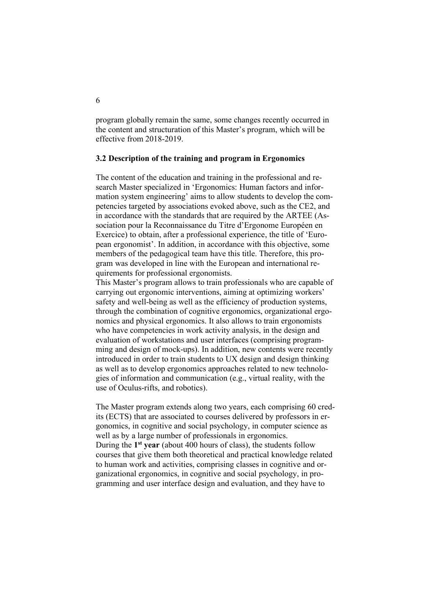program globally remain the same, some changes recently occurred in the content and structuration of this Master's program, which will be effective from 2018-2019.

### **3.2 Description of the training and program in Ergonomics**

The content of the education and training in the professional and research Master specialized in 'Ergonomics: Human factors and information system engineering' aims to allow students to develop the competencies targeted by associations evoked above, such as the CE2, and in accordance with the standards that are required by the ARTEE (Association pour la Reconnaissance du Titre d'Ergonome Européen en Exercice) to obtain, after a professional experience, the title of 'European ergonomist'. In addition, in accordance with this objective, some members of the pedagogical team have this title. Therefore, this program was developed in line with the European and international requirements for professional ergonomists.

This Master's program allows to train professionals who are capable of carrying out ergonomic interventions, aiming at optimizing workers' safety and well-being as well as the efficiency of production systems, through the combination of cognitive ergonomics, organizational ergonomics and physical ergonomics. It also allows to train ergonomists who have competencies in work activity analysis, in the design and evaluation of workstations and user interfaces (comprising programming and design of mock-ups). In addition, new contents were recently introduced in order to train students to UX design and design thinking as well as to develop ergonomics approaches related to new technologies of information and communication (e.g., virtual reality, with the use of Oculus-rifts, and robotics).

The Master program extends along two years, each comprising 60 credits (ECTS) that are associated to courses delivered by professors in ergonomics, in cognitive and social psychology, in computer science as well as by a large number of professionals in ergonomics. During the **1st year** (about 400 hours of class), the students follow courses that give them both theoretical and practical knowledge related to human work and activities, comprising classes in cognitive and organizational ergonomics, in cognitive and social psychology, in programming and user interface design and evaluation, and they have to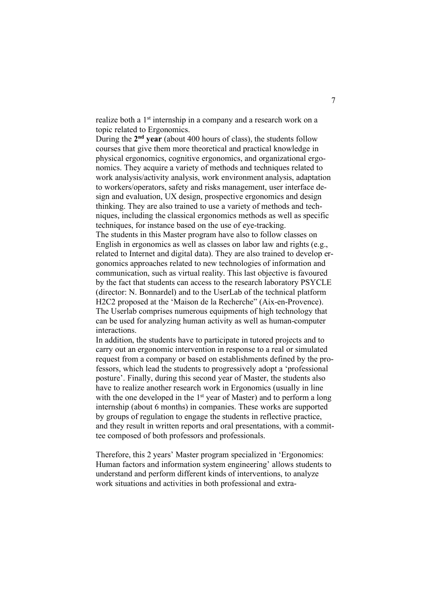realize both a 1<sup>st</sup> internship in a company and a research work on a topic related to Ergonomics.

During the **2nd year** (about 400 hours of class), the students follow courses that give them more theoretical and practical knowledge in physical ergonomics, cognitive ergonomics, and organizational ergonomics. They acquire a variety of methods and techniques related to work analysis/activity analysis, work environment analysis, adaptation to workers/operators, safety and risks management, user interface design and evaluation, UX design, prospective ergonomics and design thinking. They are also trained to use a variety of methods and techniques, including the classical ergonomics methods as well as specific techniques, for instance based on the use of eye-tracking. The students in this Master program have also to follow classes on English in ergonomics as well as classes on labor law and rights (e.g., related to Internet and digital data). They are also trained to develop ergonomics approaches related to new technologies of information and communication, such as virtual reality. This last objective is favoured by the fact that students can access to the research laboratory PSYCLE (director: N. Bonnardel) and to the UserLab of the technical platform H2C2 proposed at the 'Maison de la Recherche" (Aix-en-Provence). The Userlab comprises numerous equipments of high technology that can be used for analyzing human activity as well as human-computer interactions.

In addition, the students have to participate in tutored projects and to carry out an ergonomic intervention in response to a real or simulated request from a company or based on establishments defined by the professors, which lead the students to progressively adopt a 'professional posture'. Finally, during this second year of Master, the students also have to realize another research work in Ergonomics (usually in line with the one developed in the 1<sup>st</sup> year of Master) and to perform a long internship (about 6 months) in companies. These works are supported by groups of regulation to engage the students in reflective practice, and they result in written reports and oral presentations, with a committee composed of both professors and professionals.

Therefore, this 2 years' Master program specialized in 'Ergonomics: Human factors and information system engineering' allows students to understand and perform different kinds of interventions, to analyze work situations and activities in both professional and extra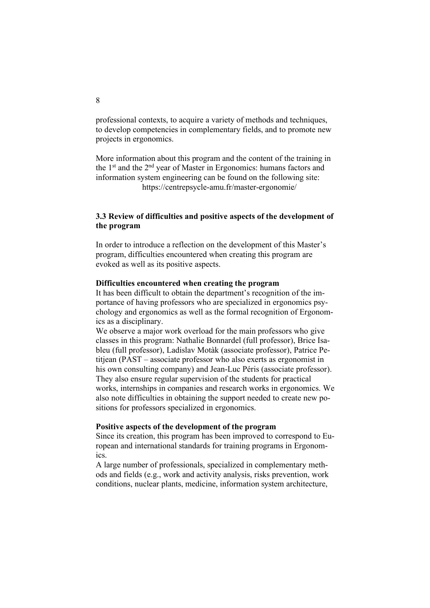professional contexts, to acquire a variety of methods and techniques, to develop competencies in complementary fields, and to promote new projects in ergonomics.

More information about this program and the content of the training in the 1st and the 2nd year of Master in Ergonomics: humans factors and information system engineering can be found on the following site: https://centrepsycle-amu.fr/master-ergonomie/

## **3.3 Review of difficulties and positive aspects of the development of the program**

In order to introduce a reflection on the development of this Master's program, difficulties encountered when creating this program are evoked as well as its positive aspects.

### **Difficulties encountered when creating the program**

It has been difficult to obtain the department's recognition of the importance of having professors who are specialized in ergonomics psychology and ergonomics as well as the formal recognition of Ergonomics as a disciplinary.

We observe a major work overload for the main professors who give classes in this program: Nathalie Bonnardel (full professor), Brice Isableu (full professor), Ladislav Motàk (associate professor), Patrice Petitjean (PAST – associate professor who also exerts as ergonomist in his own consulting company) and Jean-Luc Péris (associate professor). They also ensure regular supervision of the students for practical works, internships in companies and research works in ergonomics. We also note difficulties in obtaining the support needed to create new positions for professors specialized in ergonomics.

## **Positive aspects of the development of the program**

Since its creation, this program has been improved to correspond to European and international standards for training programs in Ergonomics.

A large number of professionals, specialized in complementary methods and fields (e.g., work and activity analysis, risks prevention, work conditions, nuclear plants, medicine, information system architecture,